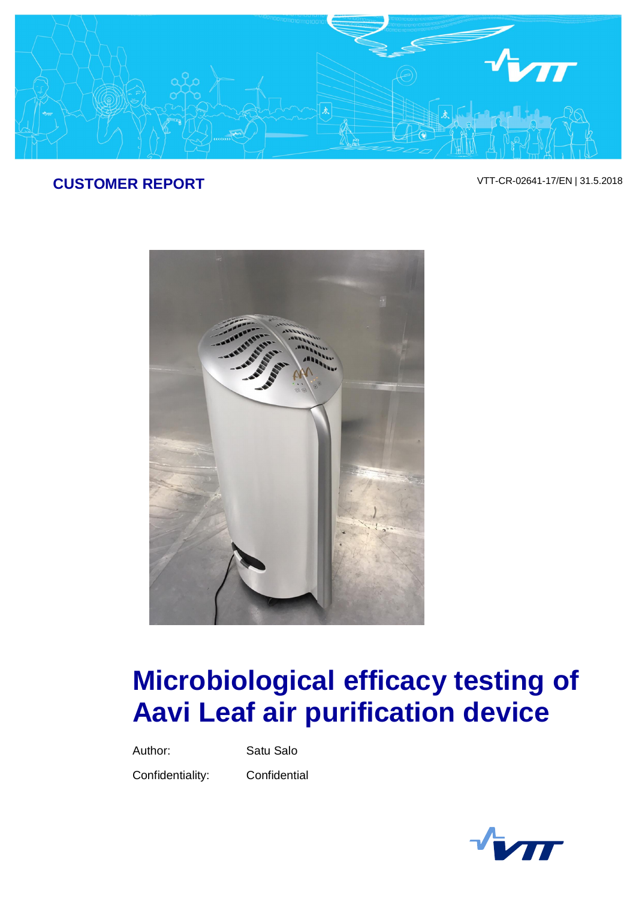

## **CUSTOMER REPORT** VTT-CR-02641-17/EN | 31.5.2018



# **Microbiological efficacy testing of Aavi Leaf air purification device**

Author: Satu Salo

Confidentiality: Confidential

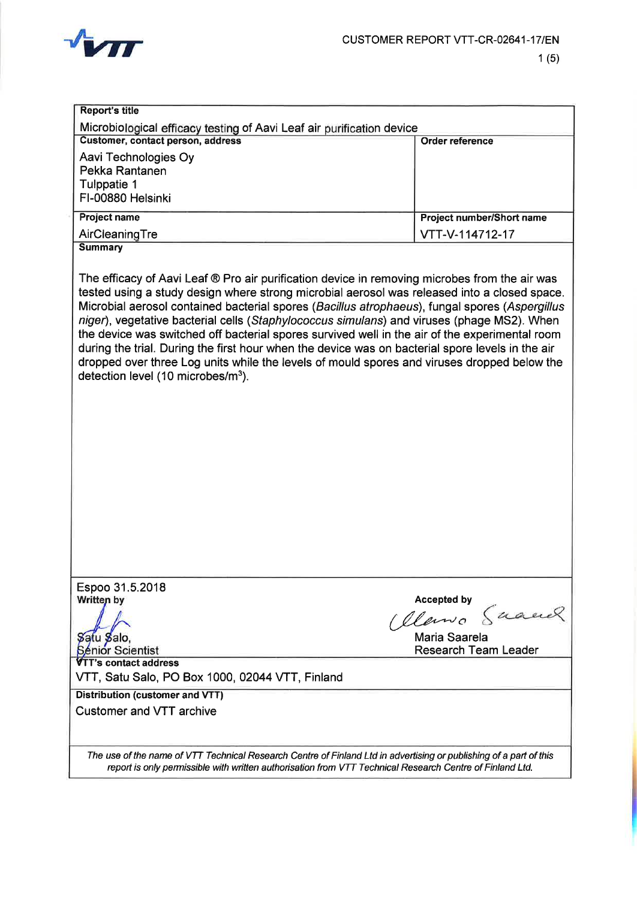

| Customer, contact person, address                                         | Microbiological efficacy testing of Aavi Leaf air purification device<br><b>Order reference</b>                                                                                                                                                                                                                                                                                                                                                                                                                                                                                                                                                                                                    |
|---------------------------------------------------------------------------|----------------------------------------------------------------------------------------------------------------------------------------------------------------------------------------------------------------------------------------------------------------------------------------------------------------------------------------------------------------------------------------------------------------------------------------------------------------------------------------------------------------------------------------------------------------------------------------------------------------------------------------------------------------------------------------------------|
| Aavi Technologies Oy                                                      |                                                                                                                                                                                                                                                                                                                                                                                                                                                                                                                                                                                                                                                                                                    |
| Pekka Rantanen                                                            |                                                                                                                                                                                                                                                                                                                                                                                                                                                                                                                                                                                                                                                                                                    |
| Tulppatie 1                                                               |                                                                                                                                                                                                                                                                                                                                                                                                                                                                                                                                                                                                                                                                                                    |
| FI-00880 Helsinki                                                         |                                                                                                                                                                                                                                                                                                                                                                                                                                                                                                                                                                                                                                                                                                    |
| <b>Project name</b>                                                       | Project number/Short name                                                                                                                                                                                                                                                                                                                                                                                                                                                                                                                                                                                                                                                                          |
| AirCleaningTre                                                            | VTT-V-114712-17                                                                                                                                                                                                                                                                                                                                                                                                                                                                                                                                                                                                                                                                                    |
| <b>Summary</b>                                                            |                                                                                                                                                                                                                                                                                                                                                                                                                                                                                                                                                                                                                                                                                                    |
| detection level (10 microbes/m <sup>3</sup> ).                            | The efficacy of Aavi Leaf ® Pro air purification device in removing microbes from the air was<br>tested using a study design where strong microbial aerosol was released into a closed space.<br>Microbial aerosol contained bacterial spores (Bacillus atrophaeus), fungal spores (Aspergillus<br>niger), vegetative bacterial cells (Staphylococcus simulans) and viruses (phage MS2). When<br>the device was switched off bacterial spores survived well in the air of the experimental room<br>during the trial. During the first hour when the device was on bacterial spore levels in the air<br>dropped over three Log units while the levels of mould spores and viruses dropped below the |
| Espoo 31.5.2018<br>Written by                                             | <b>Accepted by</b><br>Clemo Suand<br>Maria Saarela<br>Research Team Leader                                                                                                                                                                                                                                                                                                                                                                                                                                                                                                                                                                                                                         |
| Sątu Salo,<br>Sénior Scientist                                            |                                                                                                                                                                                                                                                                                                                                                                                                                                                                                                                                                                                                                                                                                                    |
| <b>VTT's contact address</b>                                              |                                                                                                                                                                                                                                                                                                                                                                                                                                                                                                                                                                                                                                                                                                    |
| VTT, Satu Salo, PO Box 1000, 02044 VTT, Finland                           |                                                                                                                                                                                                                                                                                                                                                                                                                                                                                                                                                                                                                                                                                                    |
| <b>Distribution (customer and VTT)</b><br><b>Customer and VTT archive</b> |                                                                                                                                                                                                                                                                                                                                                                                                                                                                                                                                                                                                                                                                                                    |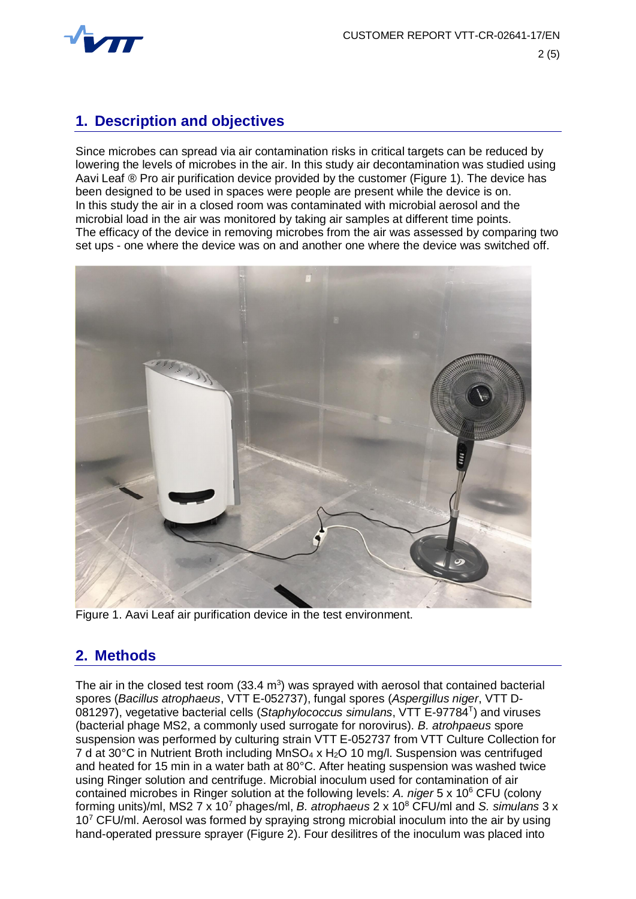

#### **1. Description and objectives**

Since microbes can spread via air contamination risks in critical targets can be reduced by lowering the levels of microbes in the air. In this study air decontamination was studied using Aavi Leaf ® Pro air purification device provided by the customer (Figure 1). The device has been designed to be used in spaces were people are present while the device is on. In this study the air in a closed room was contaminated with microbial aerosol and the microbial load in the air was monitored by taking air samples at different time points. The efficacy of the device in removing microbes from the air was assessed by comparing two set ups - one where the device was on and another one where the device was switched off.



Figure 1. Aavi Leaf air purification device in the test environment.

#### **2. Methods**

The air in the closed test room  $(33.4 \text{ m}^3)$  was sprayed with aerosol that contained bacterial spores (*Bacillus atrophaeus*, VTT E-052737), fungal spores (*Aspergillus niger*, VTT D-081297), vegetative bacterial cells (*Staphylococcus simulans*, VTT E-97784<sup>T</sup> ) and viruses (bacterial phage MS2, a commonly used surrogate for norovirus). *B. atrohpaeus* spore suspension was performed by culturing strain VTT E-052737 from VTT Culture Collection for 7 d at 30°C in Nutrient Broth including  $MnSO_4 \times H_2O$  10 mg/l. Suspension was centrifuged and heated for 15 min in a water bath at 80°C. After heating suspension was washed twice using Ringer solution and centrifuge. Microbial inoculum used for contamination of air contained microbes in Ringer solution at the following levels: A. niger 5 x 10<sup>6</sup> CFU (colony forming units)/ml, MS2 7 x 10<sup>7</sup> phages/ml, *B. atrophaeus* 2 x 10<sup>8</sup> CFU/ml and *S. simulans* 3 x 10<sup>7</sup> CFU/ml. Aerosol was formed by spraying strong microbial inoculum into the air by using hand-operated pressure sprayer (Figure 2). Four desilitres of the inoculum was placed into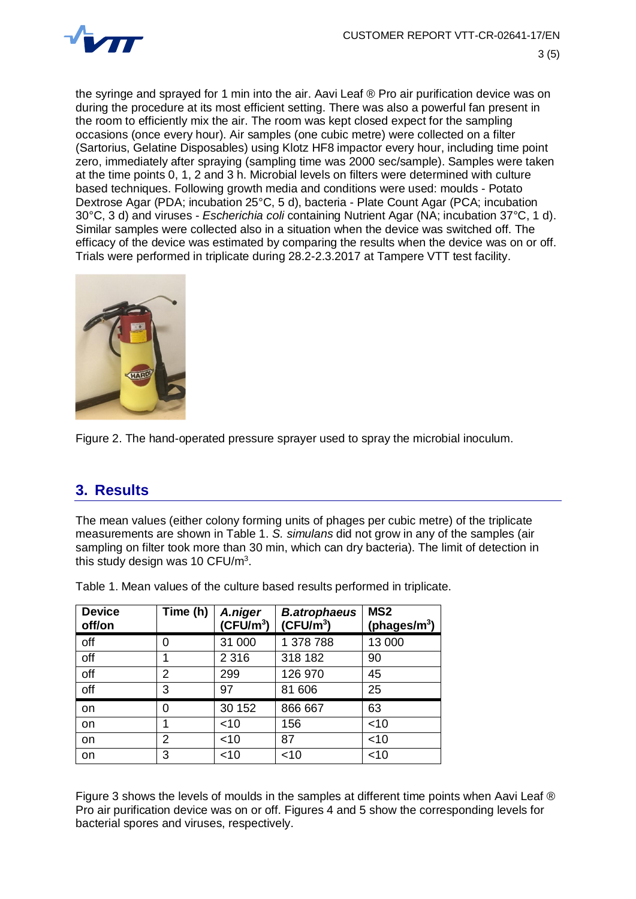

the syringe and sprayed for 1 min into the air. Aavi Leaf ® Pro air purification device was on during the procedure at its most efficient setting. There was also a powerful fan present in the room to efficiently mix the air. The room was kept closed expect for the sampling occasions (once every hour). Air samples (one cubic metre) were collected on a filter (Sartorius, Gelatine Disposables) using Klotz HF8 impactor every hour, including time point zero, immediately after spraying (sampling time was 2000 sec/sample). Samples were taken at the time points 0, 1, 2 and 3 h. Microbial levels on filters were determined with culture based techniques. Following growth media and conditions were used: moulds - Potato Dextrose Agar (PDA; incubation 25°C, 5 d), bacteria - Plate Count Agar (PCA; incubation 30°C, 3 d) and viruses - *Escherichia coli* containing Nutrient Agar (NA; incubation 37°C, 1 d). Similar samples were collected also in a situation when the device was switched off. The efficacy of the device was estimated by comparing the results when the device was on or off. Trials were performed in triplicate during 28.2-2.3.2017 at Tampere VTT test facility.



Figure 2. The hand-operated pressure sprayer used to spray the microbial inoculum.

#### **3. Results**

The mean values (either colony forming units of phages per cubic metre) of the triplicate measurements are shown in Table 1. *S. simulans* did not grow in any of the samples (air sampling on filter took more than 30 min, which can dry bacteria). The limit of detection in this study design was 10 CFU/m $3$ .

| <b>Device</b><br>off/on | Time (h) | A.niger<br>$(CFU/m^3)$ | <b>B.atrophaeus</b><br>(CFU/m <sup>3</sup> ) | MS <sub>2</sub><br>(phages/ $m^3$ ) |
|-------------------------|----------|------------------------|----------------------------------------------|-------------------------------------|
| off                     | 0        | 31 000                 | 1 378 788                                    | 13 000                              |
| off                     |          | 2 3 1 6                | 318 182                                      | 90                                  |
| off                     | 2        | 299                    | 126 970                                      | 45                                  |
| off                     | 3        | 97                     | 81 606                                       | 25                                  |
| on                      | 0        | 30 152                 | 866 667                                      | 63                                  |
| on                      |          | $<$ 10                 | 156                                          | $<$ 10                              |
| on                      | 2        | $<$ 10                 | 87                                           | $<$ 10                              |
| on                      | 3        | $<$ 10                 | $<$ 10                                       | $<$ 10                              |

Table 1. Mean values of the culture based results performed in triplicate.

Figure 3 shows the levels of moulds in the samples at different time points when Aavi Leaf ® Pro air purification device was on or off. Figures 4 and 5 show the corresponding levels for bacterial spores and viruses, respectively.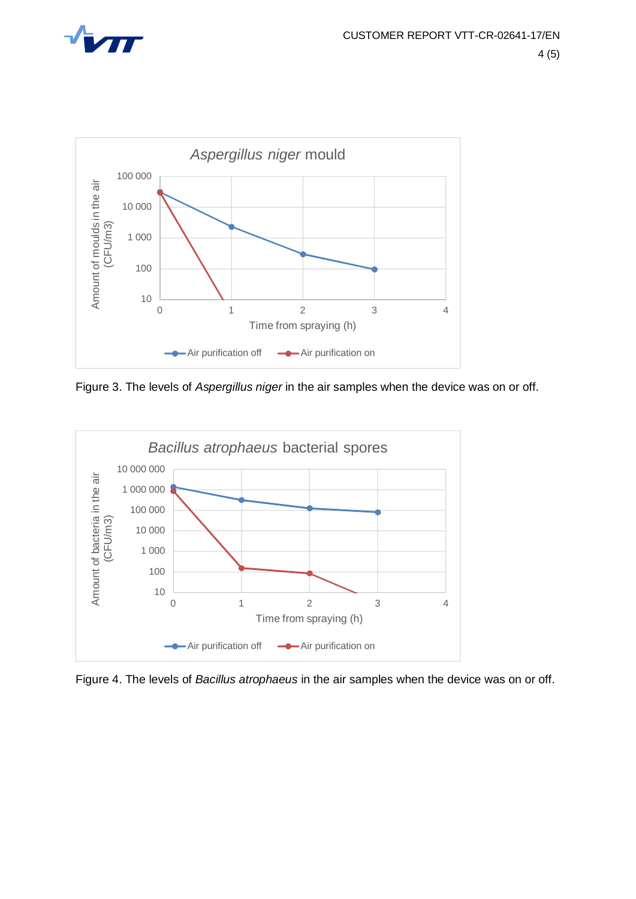



Figure 3. The levels of *Aspergillus niger* in the air samples when the device was on or off.



Figure 4. The levels of *Bacillus atrophaeus* in the air samples when the device was on or off.